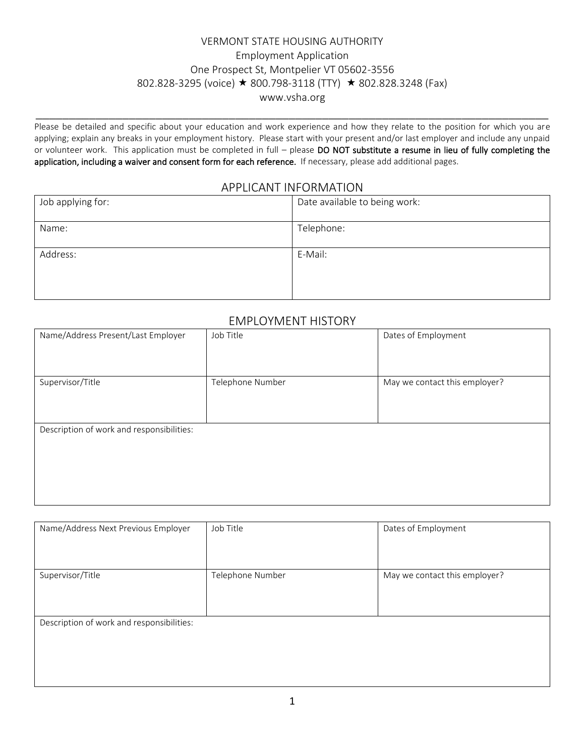### VERMONT STATE HOUSING AUTHORITY Employment Application One Prospect St, Montpelier VT 05602-3556 802.828-3295 (voice) ★ 800.798-3118 (TTY) ★ 802.828.3248 (Fax) www.vsha.org

Please be detailed and specific about your education and work experience and how they relate to the position for which you are applying; explain any breaks in your employment history. Please start with your present and/or last employer and include any unpaid or volunteer work. This application must be completed in full – please DO NOT substitute a resume in lieu of fully completing the application, including a waiver and consent form for each reference. If necessary, please add additional pages.

\_\_\_\_\_\_\_\_\_\_\_\_\_\_\_\_\_\_\_\_\_\_\_\_\_\_\_\_\_\_\_\_\_\_\_\_\_\_\_\_\_\_\_\_\_\_\_\_\_\_\_\_\_\_\_\_\_\_\_\_\_\_\_\_\_\_\_\_\_\_\_\_\_\_\_\_\_

#### APPLICANT INFORMATION

| Job applying for: | Date available to being work: |
|-------------------|-------------------------------|
| Name:             | Telephone:                    |
| Address:          | E-Mail:                       |
|                   |                               |

#### EMPLOYMENT HISTORY

| Name/Address Present/Last Employer        | Job Title        | Dates of Employment           |
|-------------------------------------------|------------------|-------------------------------|
| Supervisor/Title                          | Telephone Number | May we contact this employer? |
| Description of work and responsibilities: |                  |                               |

| Name/Address Next Previous Employer       | Job Title        | Dates of Employment           |
|-------------------------------------------|------------------|-------------------------------|
| Supervisor/Title                          | Telephone Number | May we contact this employer? |
| Description of work and responsibilities: |                  |                               |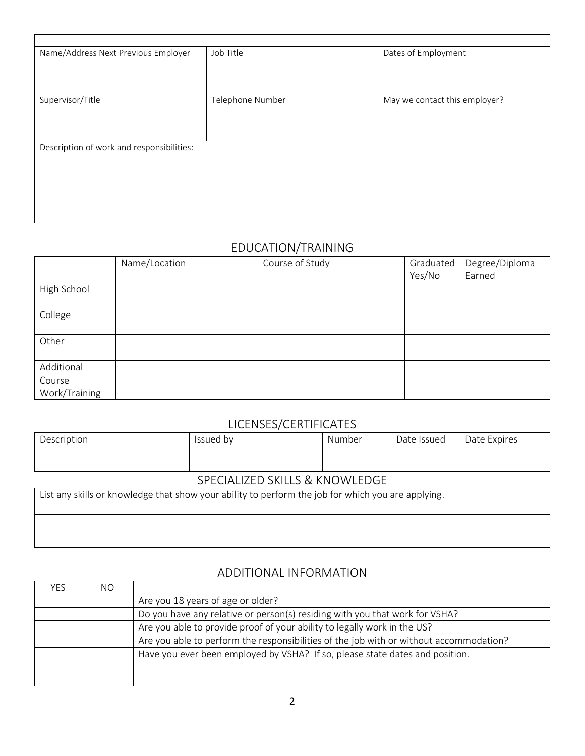| Name/Address Next Previous Employer       | Job Title        | Dates of Employment           |  |  |  |
|-------------------------------------------|------------------|-------------------------------|--|--|--|
|                                           |                  |                               |  |  |  |
|                                           |                  |                               |  |  |  |
|                                           |                  |                               |  |  |  |
| Supervisor/Title                          | Telephone Number | May we contact this employer? |  |  |  |
|                                           |                  |                               |  |  |  |
|                                           |                  |                               |  |  |  |
|                                           |                  |                               |  |  |  |
| Description of work and responsibilities: |                  |                               |  |  |  |
|                                           |                  |                               |  |  |  |
|                                           |                  |                               |  |  |  |
|                                           |                  |                               |  |  |  |
|                                           |                  |                               |  |  |  |
|                                           |                  |                               |  |  |  |
|                                           |                  |                               |  |  |  |

# EDUCATION/TRAINING

|               | Name/Location | Course of Study | Graduated | Degree/Diploma |
|---------------|---------------|-----------------|-----------|----------------|
|               |               |                 | Yes/No    | Earned         |
| High School   |               |                 |           |                |
| College       |               |                 |           |                |
| Other         |               |                 |           |                |
| Additional    |               |                 |           |                |
| Course        |               |                 |           |                |
| Work/Training |               |                 |           |                |

### LICENSES/CERTIFICATES

| Description                                                                                                                 | Issued by | Number | Date Issued | Date Expires |
|-----------------------------------------------------------------------------------------------------------------------------|-----------|--------|-------------|--------------|
|                                                                                                                             |           |        |             |              |
| SPECIALIZED SKILLS & KNOWLEDGE                                                                                              |           |        |             |              |
| احمش امتمتم معتمر بتميز وامتواب بعمة وامترمواه ومعوقعمع معربته الوام عربون بربموام عموله ومعاممات بمعتبر التزام يتعتم عمنان |           |        |             |              |

List any skills or knowledge that show your ability to perform the job for which you are applying.

### ADDITIONAL INFORMATION

| YES. | NO. |                                                                                        |
|------|-----|----------------------------------------------------------------------------------------|
|      |     | Are you 18 years of age or older?                                                      |
|      |     | Do you have any relative or person(s) residing with you that work for VSHA?            |
|      |     | Are you able to provide proof of your ability to legally work in the US?               |
|      |     | Are you able to perform the responsibilities of the job with or without accommodation? |
|      |     | Have you ever been employed by VSHA? If so, please state dates and position.           |
|      |     |                                                                                        |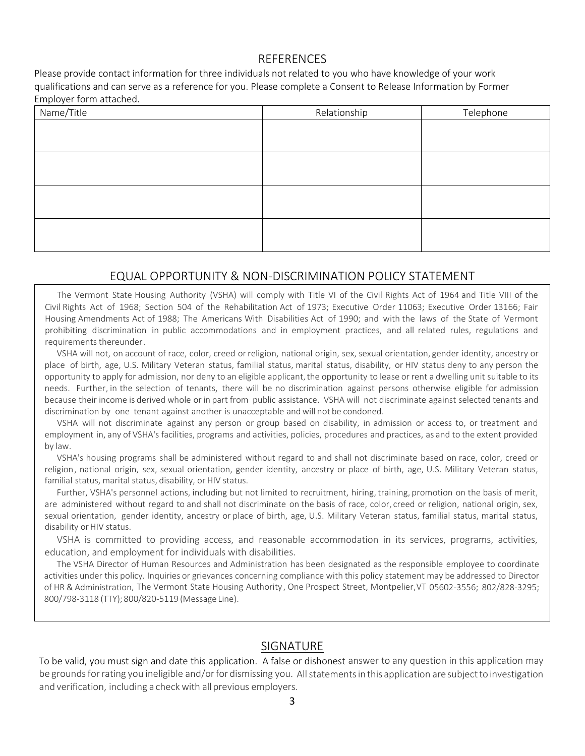#### **REFERENCES**

Please provide contact information for three individuals not related to you who have knowledge of your work qualifications and can serve as a reference for you. Please complete a Consent to Release Information by Former Employer form attached.

| Name/Title | Relationship | Telephone |
|------------|--------------|-----------|
|            |              |           |
|            |              |           |
|            |              |           |
|            |              |           |
|            |              |           |
|            |              |           |
|            |              |           |
|            |              |           |

#### EQUAL OPPORTUNITY & NON-DISCRIMINATION POLICY STATEMENT

The Vermont State Housing Authority (VSHA) will comply with Title VI of the Civil Rights Act of 1964 and Title VIII of the Civil Rights Act of 1968; Section 504 of the Rehabilitation Act of 1973; Executive Order 11063; Executive Order 13166; Fair Housing Amendments Act of 1988; The Americans With Disabilities Act of 1990; and with the laws of the State of Vermont prohibiting discrimination in public accommodations and in employment practices, and all related rules, regulations and requirements thereunder.

VSHA will not, on account of race, color, creed orreligion, national origin, sex, sexual orientation, gender identity, ancestry or place of birth, age, U.S. Military Veteran status, familial status, marital status, disability, or HIV status deny to any person the opportunity to apply for admission, nor deny to an eligible applicant, the opportunity to lease or rent a dwelling unit suitable to its needs. Further, in the selection of tenants, there will be no discrimination against persons otherwise eligible for admission because their income is derived whole or in part from public assistance. VSHA will not discriminate against selected tenants and discrimination by one tenant against another is unacceptable andwill not be condoned.

VSHA will not discriminate against any person or group based on disability, in admission or access to, or treatment and employment in, any of VSHA's facilities, programs and activities, policies, procedures and practices, as and to the extent provided by law.

VSHA's housing programs shall be administered without regard to and shall not discriminate based on race, color, creed or religion, national origin, sex, sexual orientation, gender identity, ancestry or place of birth, age, U.S. Military Veteran status, familial status, marital status, disability, or HIV status.

Further, VSHA's personnel actions, including but not limited to recruitment, hiring, training, promotion on the basis of merit, are administered without regard to and shall not discriminate on the basis of race, color, creed or religion, national origin, sex, sexual orientation, gender identity, ancestry or place of birth, age, U.S. Military Veteran status, familial status, marital status, disability or HIV status.

VSHA is committed to providing access, and reasonable accommodation in its services, programs, activities, education, and employment for individuals with disabilities.

The VSHA Director of Human Resources and Administration has been designated as the responsible employee to coordinate activities under this policy. Inquiries or grievances concerning compliance with this policy statement may be addressed to Director of HR & Administration, The Vermont State Housing Authority , One Prospect Street, Montpelier,VT 05602-3556; 802/828-3295; 800/798-3118 (TTY); 800/820-5119 (Message Line).

### SIGNATURE

To be valid, you must sign and date this application. A false or dishonest answer to any question in this application may be grounds for rating you ineligible and/or for dismissing you. All statements in this application are subject to investigation and verification, including a check with all previous employers.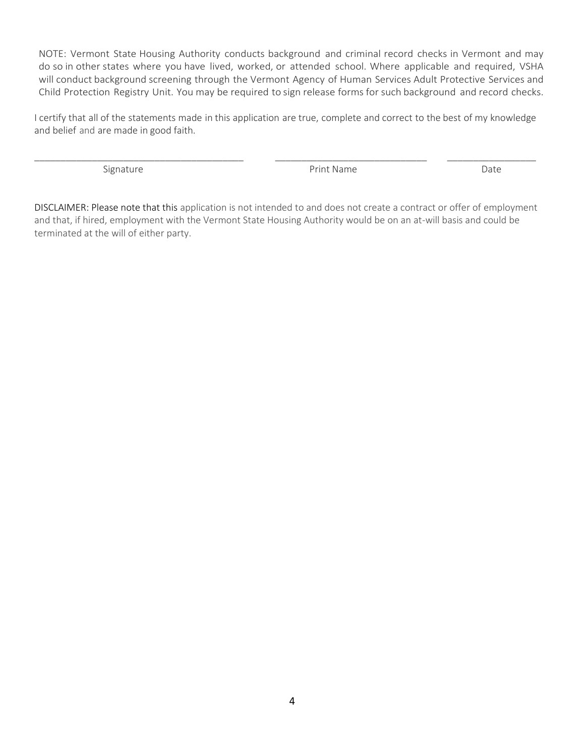NOTE: Vermont State Housing Authority conducts background and criminal record checks in Vermont and may do so in other states where you have lived, worked, or attended school. Where applicable and required, VSHA will conduct background screening through the Vermont Agency of Human Services Adult Protective Services and Child Protection Registry Unit. You may be required to sign release forms for such background and record checks.

I certify that all of the statements made in this application are true, complete and correct to the best of my knowledge and belief and are made in good faith.

\_\_\_\_\_\_\_\_\_\_\_\_\_\_\_\_\_\_\_\_\_\_\_\_\_\_\_\_\_\_\_\_\_\_\_\_\_\_\_\_ \_\_\_\_\_\_\_\_\_\_\_\_\_\_\_\_\_\_\_\_\_\_\_\_\_\_\_\_\_ \_\_\_\_\_\_\_\_\_\_\_\_\_\_\_\_\_

Signature **Date Print Name Print Name Print Name** 

DISCLAIMER: Please note that this application is not intended to and does not create a contract or offer of employment and that, if hired, employment with the Vermont State Housing Authority would be on an at-will basis and could be terminated at the will of either party.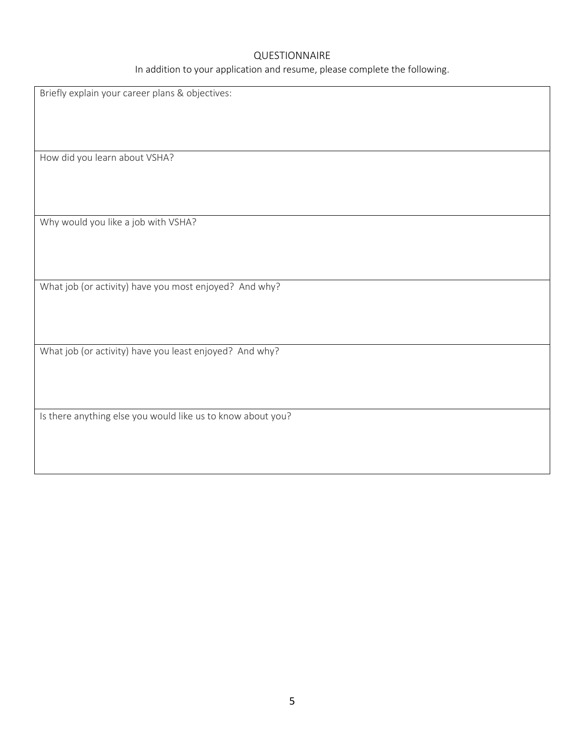#### QUESTIONNAIRE

In addition to your application and resume, please complete the following.

Briefly explain your career plans & objectives: How did you learn about VSHA? Why would you like a job with VSHA? What job (or activity) have you most enjoyed? And why? What job (or activity) have you least enjoyed? And why? Is there anything else you would like us to know about you?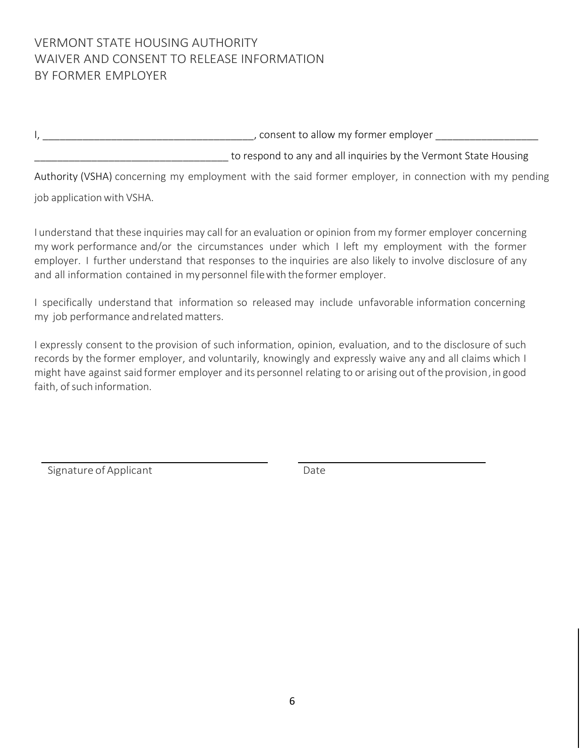# VERMONT STATE HOUSING AUTHORITY WAIVER AND CONSENT TO RELEASE INFORMATION BY FORMER EMPLOYER

I, the same of the set of the set of the set of the set of the set of the set of the set of the set of the set o \_\_\_\_\_\_\_\_\_\_\_\_\_\_\_\_\_\_\_\_\_\_\_\_\_\_\_\_\_\_\_\_\_\_ to respond to any and all inquiries by the Vermont State Housing

Authority (VSHA) concerning my employment with the said former employer, in connection with my pending

job application with VSHA.

I understand that these inquiries may call for an evaluation or opinion from my former employer concerning my work performance and/or the circumstances under which I left my employment with the former employer. I further understand that responses to the inquiries are also likely to involve disclosure of any and all information contained in my personnel filewith the former employer.

I specifically understand that information so released may include unfavorable information concerning my job performance andrelatedmatters.

I expressly consent to the provision of such information, opinion, evaluation, and to the disclosure of such records by the former employer, and voluntarily, knowingly and expressly waive any and all claims which I might have against said former employer and its personnel relating to or arising out of the provision, in good faith, of such information.

Signature of Applicant Date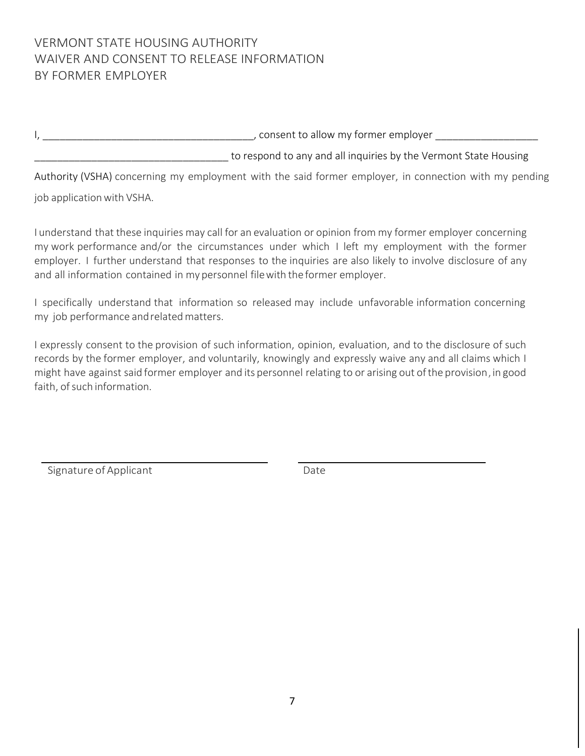# VERMONT STATE HOUSING AUTHORITY WAIVER AND CONSENT TO RELEASE INFORMATION BY FORMER EMPLOYER

I, the same of the set of the set of the set of the set of the set of the set of the set of the set of the set o \_\_\_\_\_\_\_\_\_\_\_\_\_\_\_\_\_\_\_\_\_\_\_\_\_\_\_\_\_\_\_\_\_\_ to respond to any and all inquiries by the Vermont State Housing

Authority (VSHA) concerning my employment with the said former employer, in connection with my pending job application with VSHA.

I understand that these inquiries may call for an evaluation or opinion from my former employer concerning my work performance and/or the circumstances under which I left my employment with the former employer. I further understand that responses to the inquiries are also likely to involve disclosure of any and all information contained in my personnel filewith the former employer.

I specifically understand that information so released may include unfavorable information concerning my job performance andrelatedmatters.

I expressly consent to the provision of such information, opinion, evaluation, and to the disclosure of such records by the former employer, and voluntarily, knowingly and expressly waive any and all claims which I might have against said former employer and its personnel relating to or arising out of the provision, in good faith, of such information.

Signature of Applicant Date